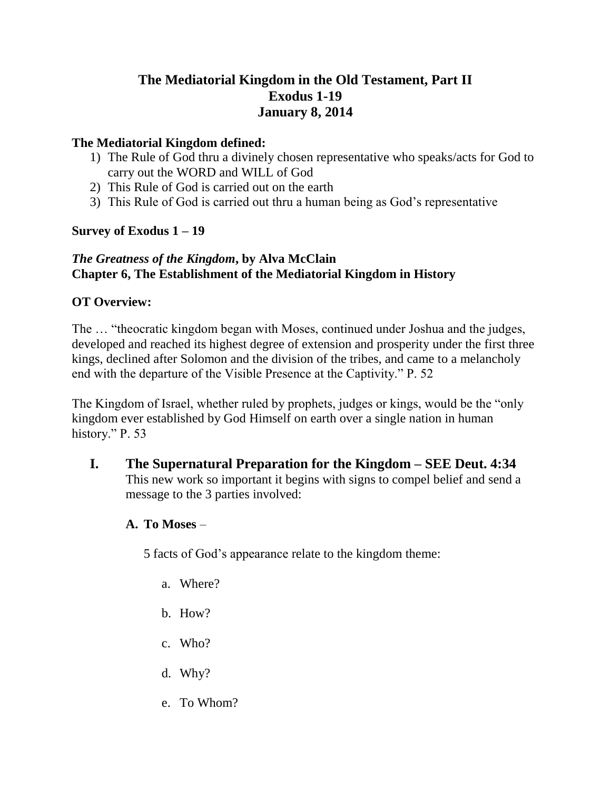# **The Mediatorial Kingdom in the Old Testament, Part II Exodus 1-19 January 8, 2014**

### **The Mediatorial Kingdom defined:**

- 1) The Rule of God thru a divinely chosen representative who speaks/acts for God to carry out the WORD and WILL of God
- 2) This Rule of God is carried out on the earth
- 3) This Rule of God is carried out thru a human being as God's representative

## **Survey of Exodus 1 – 19**

## *The Greatness of the Kingdom***, by Alva McClain Chapter 6, The Establishment of the Mediatorial Kingdom in History**

## **OT Overview:**

The … "theocratic kingdom began with Moses, continued under Joshua and the judges, developed and reached its highest degree of extension and prosperity under the first three kings, declined after Solomon and the division of the tribes, and came to a melancholy end with the departure of the Visible Presence at the Captivity." P. 52

The Kingdom of Israel, whether ruled by prophets, judges or kings, would be the "only kingdom ever established by God Himself on earth over a single nation in human history." P. 53

**I. The Supernatural Preparation for the Kingdom – SEE Deut. 4:34** This new work so important it begins with signs to compel belief and send a message to the 3 parties involved:

## **A. To Moses** –

5 facts of God's appearance relate to the kingdom theme:

- a. Where?
- b. How?
- c. Who?
- d. Why?
- e. To Whom?